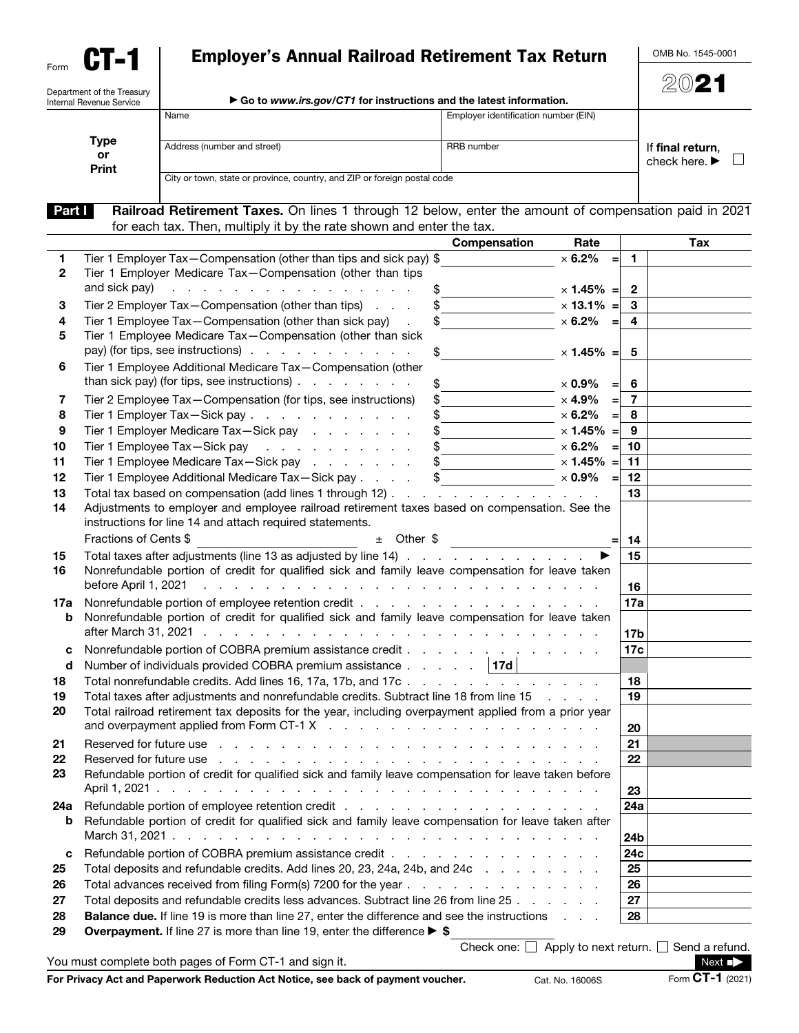| Form |  |
|------|--|

Department of the Treasury

## Employer's Annual Railroad Retirement Tax Return

OMB No. 1545-0001

2021

| Internal Revenue Service | $\blacktriangleright$ Go to www.irs.gov/CTT for instructions and the latest information. |                                      |                                                       |  |
|--------------------------|------------------------------------------------------------------------------------------|--------------------------------------|-------------------------------------------------------|--|
|                          | Name                                                                                     | Employer identification number (EIN) |                                                       |  |
| Type<br>or<br>Print      | Address (number and street)                                                              | RRB number                           | If final return.<br>check here. $\blacktriangleright$ |  |
|                          | City or town, state or province, country, and ZIP or foreign postal code                 |                                      |                                                       |  |

Part | Railroad Retirement Taxes. On lines 1 through 12 below, enter the amount of compensation paid in 2021 for each tax. Then, multiply it by the rate shown and enter the tax.

|              | Compensation<br>Rate                                                                                                                                                                                                                                                                                                                                                                                                                                  | Tax                   |
|--------------|-------------------------------------------------------------------------------------------------------------------------------------------------------------------------------------------------------------------------------------------------------------------------------------------------------------------------------------------------------------------------------------------------------------------------------------------------------|-----------------------|
| 1            | Tier 1 Employer Tax-Compensation (other than tips and sick pay) \$<br>$\times$ 6.2%                                                                                                                                                                                                                                                                                                                                                                   | $\mathbf{1}$          |
| $\mathbf{2}$ | Tier 1 Employer Medicare Tax-Compensation (other than tips                                                                                                                                                                                                                                                                                                                                                                                            |                       |
|              | and sick pay)<br>and the contract of the contract of the contract of the<br>$\times$ 1.45% =                                                                                                                                                                                                                                                                                                                                                          | $\mathbf{2}$          |
| 3            | Tier 2 Employer Tax-Compensation (other than tips)<br>$\frac{1}{2}$ × 13.1% =                                                                                                                                                                                                                                                                                                                                                                         | $\mathbf{3}$          |
| 4            | $\times$ 6.2% =<br>Tier 1 Employee Tax-Compensation (other than sick pay)                                                                                                                                                                                                                                                                                                                                                                             | $\overline{4}$        |
| 5            | Tier 1 Employee Medicare Tax-Compensation (other than sick                                                                                                                                                                                                                                                                                                                                                                                            |                       |
|              | pay) (for tips, see instructions)<br>$\frac{1}{\sqrt{2}}$<br>$\times$ 1.45% =                                                                                                                                                                                                                                                                                                                                                                         | 5                     |
| 6            | Tier 1 Employee Additional Medicare Tax-Compensation (other                                                                                                                                                                                                                                                                                                                                                                                           |                       |
|              | than sick pay) (for tips, see instructions) $\ldots$ $\ldots$ $\ldots$<br>$\frac{1}{2}$<br>$\times$ 0.9%                                                                                                                                                                                                                                                                                                                                              | -6<br>$=$             |
| 7            | Tier 2 Employee Tax-Compensation (for tips, see instructions)<br>$\times$ 4.9%<br>$\begin{picture}(20,20) \put(0,0){\vector(1,0){100}} \put(15,0){\vector(1,0){100}} \put(15,0){\vector(1,0){100}} \put(15,0){\vector(1,0){100}} \put(15,0){\vector(1,0){100}} \put(15,0){\vector(1,0){100}} \put(15,0){\vector(1,0){100}} \put(15,0){\vector(1,0){100}} \put(15,0){\vector(1,0){100}} \put(15,0){\vector(1,0){100}} \put(15,0){\vector(1,0){100}} \$ | $\overline{7}$<br>$=$ |
| 8            | Tier 1 Employer Tax - Sick pay                                                                                                                                                                                                                                                                                                                                                                                                                        | 8<br>$=$              |
| 9            | Tier 1 Employer Medicare Tax-Sick pay                                                                                                                                                                                                                                                                                                                                                                                                                 | 9                     |
| 10           | Tier 1 Employee Tax - Sick pay referred a series and results of the series of the series of the series of the                                                                                                                                                                                                                                                                                                                                         | 10<br>$=$             |
| 11           | Tier 1 Employee Medicare Tax-Sick pay                                                                                                                                                                                                                                                                                                                                                                                                                 | 11                    |
| 12           | Tier 1 Employee Additional Medicare Tax-Sick pay \$ _______________ x 0.9%                                                                                                                                                                                                                                                                                                                                                                            | 12<br>$=$             |
| 13           | Total tax based on compensation (add lines 1 through 12)                                                                                                                                                                                                                                                                                                                                                                                              | 13                    |
| 14           | Adjustments to employer and employee railroad retirement taxes based on compensation. See the                                                                                                                                                                                                                                                                                                                                                         |                       |
|              | instructions for line 14 and attach required statements.                                                                                                                                                                                                                                                                                                                                                                                              |                       |
|              | Fractions of Cents \$<br>$\pm$ Other \$                                                                                                                                                                                                                                                                                                                                                                                                               | 14                    |
| 15           | Total taxes after adjustments (line 13 as adjusted by line 14)                                                                                                                                                                                                                                                                                                                                                                                        | 15                    |
| 16           | Nonrefundable portion of credit for qualified sick and family leave compensation for leave taken                                                                                                                                                                                                                                                                                                                                                      |                       |
|              | before April 1, 2021<br>والمتعاون والمتعاون والمتعاون والمتعاون والمتعاونة والمتعاونة والمتعاونة والمتعاونة والمتعاونة                                                                                                                                                                                                                                                                                                                                | 16                    |
| 17a          |                                                                                                                                                                                                                                                                                                                                                                                                                                                       | 17a                   |
| b            | Nonrefundable portion of credit for qualified sick and family leave compensation for leave taken                                                                                                                                                                                                                                                                                                                                                      |                       |
|              |                                                                                                                                                                                                                                                                                                                                                                                                                                                       | 17b                   |
| с            |                                                                                                                                                                                                                                                                                                                                                                                                                                                       | 17c                   |
| d            | Number of individuals provided COBRA premium assistance 17d                                                                                                                                                                                                                                                                                                                                                                                           |                       |
| 18           | Total nonrefundable credits. Add lines 16, 17a, 17b, and 17c                                                                                                                                                                                                                                                                                                                                                                                          | 18                    |
| 19           | Total taxes after adjustments and nonrefundable credits. Subtract line 18 from line 15                                                                                                                                                                                                                                                                                                                                                                | 19                    |
| 20           | Total railroad retirement tax deposits for the year, including overpayment applied from a prior year                                                                                                                                                                                                                                                                                                                                                  |                       |
|              |                                                                                                                                                                                                                                                                                                                                                                                                                                                       | 20                    |
| 21           | Reserved for future use<br>and the company of the company of the company of the company of the company of the company of the company of the company of the company of the company of the company of the company of the company of the company of the comp                                                                                                                                                                                             | 21                    |
| 22           | Reserved for future use<br>the contract of the contract of the contract of the contract of the contract of the contract of the contract of the contract of the contract of the contract of the contract of the contract of the contract of the contract o                                                                                                                                                                                             | 22                    |
| 23           | Refundable portion of credit for qualified sick and family leave compensation for leave taken before                                                                                                                                                                                                                                                                                                                                                  |                       |
|              |                                                                                                                                                                                                                                                                                                                                                                                                                                                       | 23                    |
| 24a<br>b     | Refundable portion of credit for qualified sick and family leave compensation for leave taken after                                                                                                                                                                                                                                                                                                                                                   | 24a                   |
|              |                                                                                                                                                                                                                                                                                                                                                                                                                                                       | 24b                   |
| c            | Refundable portion of COBRA premium assistance credit                                                                                                                                                                                                                                                                                                                                                                                                 | 24 <sub>c</sub>       |
| 25           | Total deposits and refundable credits. Add lines 20, 23, 24a, 24b, and 24c                                                                                                                                                                                                                                                                                                                                                                            | 25                    |
| 26           |                                                                                                                                                                                                                                                                                                                                                                                                                                                       | 26                    |
| 27           | Total deposits and refundable credits less advances. Subtract line 26 from line 25                                                                                                                                                                                                                                                                                                                                                                    | 27                    |
| 28           | Balance due. If line 19 is more than line 27, enter the difference and see the instructions<br>and the control                                                                                                                                                                                                                                                                                                                                        | 28                    |
| 29           | Overpayment. If line 27 is more than line 19, enter the difference $\triangleright$ \$                                                                                                                                                                                                                                                                                                                                                                |                       |
|              | Check one: $\Box$ Apply to next return. $\Box$ Send a refund.                                                                                                                                                                                                                                                                                                                                                                                         |                       |
|              | You must complete both pages of Form CT-1 and sign it.                                                                                                                                                                                                                                                                                                                                                                                                | $Next \rightarrow$    |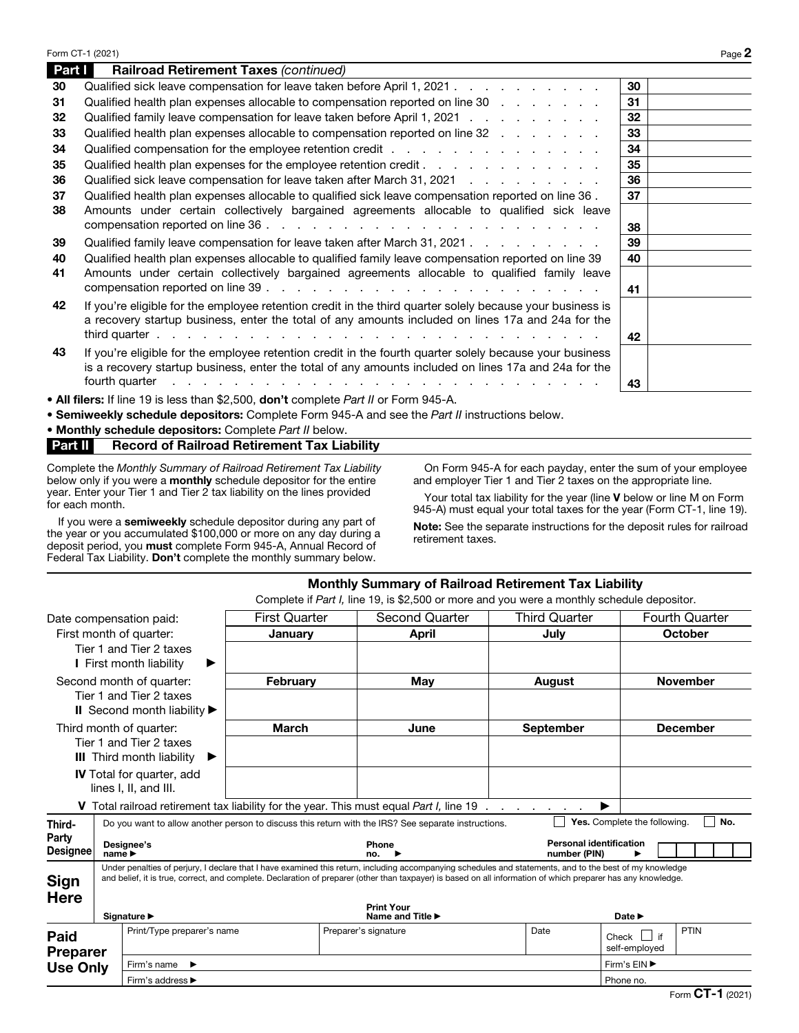|        | Form CT-1 (2021)                                                                                                                                                                                                                                |    | Page 2 |
|--------|-------------------------------------------------------------------------------------------------------------------------------------------------------------------------------------------------------------------------------------------------|----|--------|
| Part I | Railroad Retirement Taxes (continued)                                                                                                                                                                                                           |    |        |
| 30     | Qualified sick leave compensation for leave taken before April 1, 2021                                                                                                                                                                          | 30 |        |
| 31     | Qualified health plan expenses allocable to compensation reported on line 30                                                                                                                                                                    | 31 |        |
| 32     | Qualified family leave compensation for leave taken before April 1, 2021                                                                                                                                                                        | 32 |        |
| 33     | Qualified health plan expenses allocable to compensation reported on line 32                                                                                                                                                                    | 33 |        |
| 34     |                                                                                                                                                                                                                                                 | 34 |        |
| 35     | Qualified health plan expenses for the employee retention credit                                                                                                                                                                                | 35 |        |
| 36     | Qualified sick leave compensation for leave taken after March 31, 2021                                                                                                                                                                          | 36 |        |
| 37     | Qualified health plan expenses allocable to qualified sick leave compensation reported on line 36.                                                                                                                                              | 37 |        |
| 38     | Amounts under certain collectively bargained agreements allocable to qualified sick leave                                                                                                                                                       |    |        |
|        |                                                                                                                                                                                                                                                 | 38 |        |
| 39     | Qualified family leave compensation for leave taken after March 31, 2021.                                                                                                                                                                       | 39 |        |
| 40     | Qualified health plan expenses allocable to qualified family leave compensation reported on line 39                                                                                                                                             | 40 |        |
| 41     | Amounts under certain collectively bargained agreements allocable to qualified family leave                                                                                                                                                     |    |        |
|        |                                                                                                                                                                                                                                                 | 41 |        |
| 42     | If you're eligible for the employee retention credit in the third quarter solely because your business is                                                                                                                                       |    |        |
|        | a recovery startup business, enter the total of any amounts included on lines 17a and 24a for the                                                                                                                                               |    |        |
|        |                                                                                                                                                                                                                                                 | 42 |        |
| 43     | If you're eligible for the employee retention credit in the fourth quarter solely because your business                                                                                                                                         |    |        |
|        | is a recovery startup business, enter the total of any amounts included on lines 17a and 24a for the                                                                                                                                            |    |        |
|        | fourth quarter<br>and a construction of the construction of the construction of the construction of the construction of the construction of the construction of the construction of the construction of the construction of the construction of | 43 |        |
|        | • All filers: If line 19 is less than \$2,500, don't complete Part II or Form 945-A.                                                                                                                                                            |    |        |
|        |                                                                                                                                                                                                                                                 |    |        |

• Semiweekly schedule depositors: Complete Form 945-A and see the *Part II* instructions below.

• Monthly schedule depositors: Complete *Part II* below.

Part II Record of Railroad Retirement Tax Liability

Complete the *Monthly Summary of Railroad Retirement Tax Liability*  below only if you were a **monthly** schedule depositor for the entire year. Enter your Tier 1 and Tier 2 tax liability on the lines provided for each month.

If you were a semiweekly schedule depositor during any part of the year or you accumulated \$100,000 or more on any day during a deposit period, you must complete Form 945-A, Annual Record of Federal Tax Liability. Don't complete the monthly summary below.

On Form 945-A for each payday, enter the sum of your employee and employer Tier 1 and Tier 2 taxes on the appropriate line.

Your total tax liability for the year (line V below or line M on Form 945-A) must equal your total taxes for the year (Form CT-1, line 19).

Note: See the separate instructions for the deposit rules for railroad retirement taxes.

|                                                                                                                                                                                                                                                                                                                                          |  |                                                                                                                                            | <b>Monthly Summary of Railroad Retirement Tax Liability</b> |                      |                                                                                                |  |                      |                                |                                       |
|------------------------------------------------------------------------------------------------------------------------------------------------------------------------------------------------------------------------------------------------------------------------------------------------------------------------------------------|--|--------------------------------------------------------------------------------------------------------------------------------------------|-------------------------------------------------------------|----------------------|------------------------------------------------------------------------------------------------|--|----------------------|--------------------------------|---------------------------------------|
|                                                                                                                                                                                                                                                                                                                                          |  |                                                                                                                                            |                                                             |                      | Complete if Part I, line 19, is \$2,500 or more and you were a monthly schedule depositor.     |  |                      |                                |                                       |
| Date compensation paid:                                                                                                                                                                                                                                                                                                                  |  |                                                                                                                                            | <b>First Quarter</b>                                        |                      | <b>Second Quarter</b>                                                                          |  | <b>Third Quarter</b> |                                | <b>Fourth Quarter</b>                 |
|                                                                                                                                                                                                                                                                                                                                          |  | First month of quarter:                                                                                                                    | January                                                     |                      | April                                                                                          |  | July                 | <b>October</b>                 |                                       |
|                                                                                                                                                                                                                                                                                                                                          |  | Tier 1 and Tier 2 taxes<br>I First month liability<br>▶                                                                                    |                                                             |                      |                                                                                                |  |                      |                                |                                       |
|                                                                                                                                                                                                                                                                                                                                          |  | Second month of quarter:                                                                                                                   | February                                                    | May                  |                                                                                                |  | <b>August</b>        | <b>November</b>                |                                       |
|                                                                                                                                                                                                                                                                                                                                          |  | Tier 1 and Tier 2 taxes                                                                                                                    |                                                             |                      |                                                                                                |  |                      |                                |                                       |
|                                                                                                                                                                                                                                                                                                                                          |  | II Second month liability $\blacktriangleright$                                                                                            |                                                             |                      |                                                                                                |  |                      |                                |                                       |
|                                                                                                                                                                                                                                                                                                                                          |  | Third month of quarter:                                                                                                                    | <b>March</b>                                                |                      | June                                                                                           |  | <b>September</b>     |                                | <b>December</b>                       |
|                                                                                                                                                                                                                                                                                                                                          |  | Tier 1 and Tier 2 taxes                                                                                                                    |                                                             |                      |                                                                                                |  |                      |                                |                                       |
| Ш                                                                                                                                                                                                                                                                                                                                        |  | Third month liability<br>▶                                                                                                                 |                                                             |                      |                                                                                                |  |                      |                                |                                       |
| <b>IV</b> Total for quarter, add                                                                                                                                                                                                                                                                                                         |  |                                                                                                                                            |                                                             |                      |                                                                                                |  |                      |                                |                                       |
|                                                                                                                                                                                                                                                                                                                                          |  | lines I, II, and III.                                                                                                                      |                                                             |                      |                                                                                                |  |                      |                                |                                       |
|                                                                                                                                                                                                                                                                                                                                          |  |                                                                                                                                            |                                                             |                      | <b>V</b> Total railroad retirement tax liability for the year. This must equal Part I, line 19 |  |                      | ▶                              |                                       |
| Third-                                                                                                                                                                                                                                                                                                                                   |  | No.<br>Yes. Complete the following.<br>Do you want to allow another person to discuss this return with the IRS? See separate instructions. |                                                             |                      |                                                                                                |  |                      |                                |                                       |
| Party<br>Designee's<br><b>Designee</b><br>$name \triangleright$                                                                                                                                                                                                                                                                          |  |                                                                                                                                            |                                                             |                      | Phone<br>no.                                                                                   |  | number (PIN)         | <b>Personal identification</b> |                                       |
| Under penalties of perjury, I declare that I have examined this return, including accompanying schedules and statements, and to the best of my knowledge<br>and belief, it is true, correct, and complete. Declaration of preparer (other than taxpayer) is based on all information of which preparer has any knowledge.<br><b>Sign</b> |  |                                                                                                                                            |                                                             |                      |                                                                                                |  |                      |                                |                                       |
| <b>Here</b>                                                                                                                                                                                                                                                                                                                              |  | Signature ▶                                                                                                                                |                                                             |                      | <b>Print Your</b><br>Name and Title ▶                                                          |  |                      | Date $\blacktriangleright$     |                                       |
| <b>Paid</b><br><b>Preparer</b>                                                                                                                                                                                                                                                                                                           |  | Print/Type preparer's name                                                                                                                 |                                                             | Preparer's signature |                                                                                                |  | Date                 | Check     if<br>self-employed  | PTIN                                  |
| <b>Use Only</b>                                                                                                                                                                                                                                                                                                                          |  | Firm's name<br>▸                                                                                                                           |                                                             |                      |                                                                                                |  |                      | Firm's EIN ▶                   |                                       |
|                                                                                                                                                                                                                                                                                                                                          |  | Firm's address ▶                                                                                                                           |                                                             |                      |                                                                                                |  |                      | Phone no.                      |                                       |
|                                                                                                                                                                                                                                                                                                                                          |  |                                                                                                                                            |                                                             |                      |                                                                                                |  |                      |                                | $F_{\rm OCD}$ CT <sub>-1</sub> (2021) |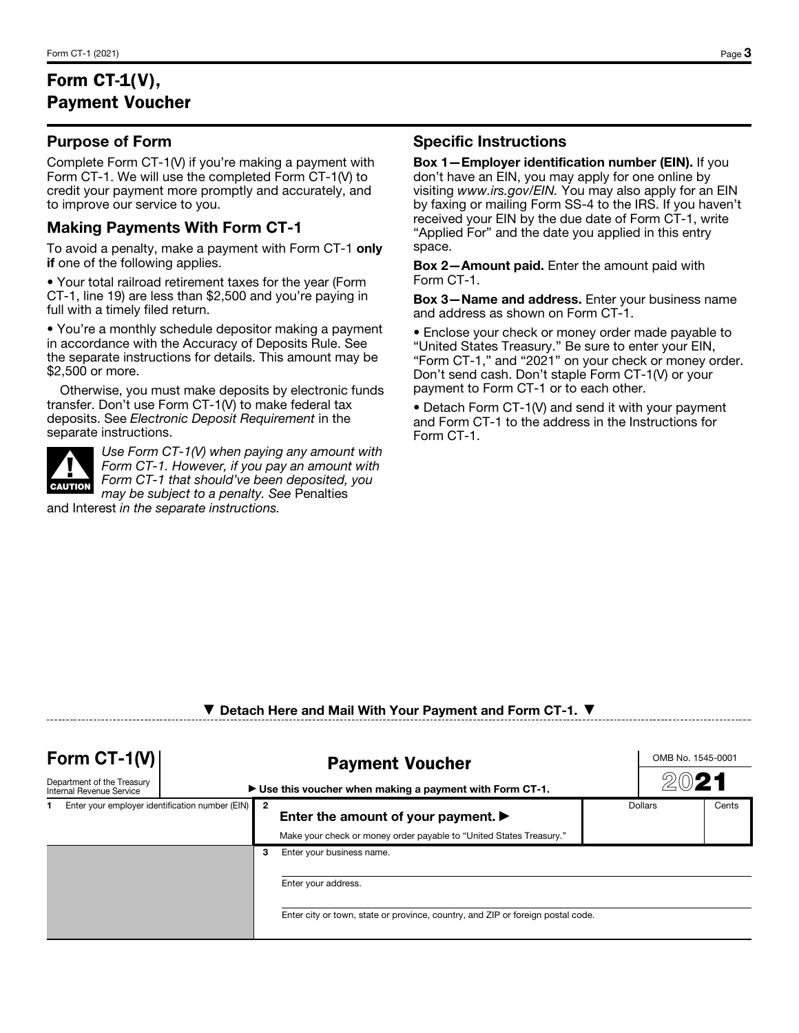# Form CT-1(V), Payment Voucher

#### Purpose of Form

Complete Form CT-1(V) if you're making a payment with Form CT-1. We will use the completed Form CT-1(V) to credit your payment more promptly and accurately, and to improve our service to you.

#### Making Payments With Form CT-1

To avoid a penalty, make a payment with Form CT-1 only if one of the following applies.

• Your total railroad retirement taxes for the year (Form CT-1, line 19) are less than \$2,500 and you're paying in full with a timely filed return.

• You're a monthly schedule depositor making a payment in accordance with the Accuracy of Deposits Rule. See the separate instructions for details. This amount may be \$2,500 or more.

Otherwise, you must make deposits by electronic funds transfer. Don't use Form CT-1(V) to make federal tax deposits. See *Electronic Deposit Requirement* in the separate instructions.



*Use Form CT-1(V) when paying any amount with Form CT-1. However, if you pay an amount with Form CT-1 that should've been deposited, you may be subject to a penalty. See* Penalties

and Interest *in the separate instructions.*

#### Specific Instructions

Box 1—Employer identification number (EIN). If you don't have an EIN, you may apply for one online by visiting *www.irs.gov/EIN.* You may also apply for an EIN by faxing or mailing Form SS-4 to the IRS. If you haven't received your EIN by the due date of Form CT-1, write "Applied For" and the date you applied in this entry space.

Box 2—Amount paid. Enter the amount paid with Form CT-1.

Box 3—Name and address. Enter your business name and address as shown on Form CT-1.

• Enclose your check or money order made payable to "United States Treasury." Be sure to enter your EIN, "Form CT-1," and "2021" on your check or money order. Don't send cash. Don't staple Form CT-1(V) or your payment to Form CT-1 or to each other.

• Detach Form CT-1(V) and send it with your payment and Form CT-1 to the address in the Instructions for Form CT-1.

### ▼ Detach Here and Mail With Your Payment and Form CT-1. ▼

| Form $CT-1(V)$<br>Department of the Treasury<br>Internal Revenue Service | <b>Payment Voucher</b><br>$\triangleright$ Use this voucher when making a payment with Form CT-1. |   |                                                                                                                                |  | OMB No. 1545-0001<br>$20$ 21 |       |
|--------------------------------------------------------------------------|---------------------------------------------------------------------------------------------------|---|--------------------------------------------------------------------------------------------------------------------------------|--|------------------------------|-------|
| Enter your employer identification number (EIN)                          |                                                                                                   |   | Enter the amount of your payment. $\blacktriangleright$<br>Make your check or money order payable to "United States Treasury." |  | <b>Dollars</b>               | Cents |
|                                                                          |                                                                                                   | 3 | Enter your business name.<br>Enter your address.                                                                               |  |                              |       |
|                                                                          |                                                                                                   |   | Enter city or town, state or province, country, and ZIP or foreign postal code.                                                |  |                              |       |